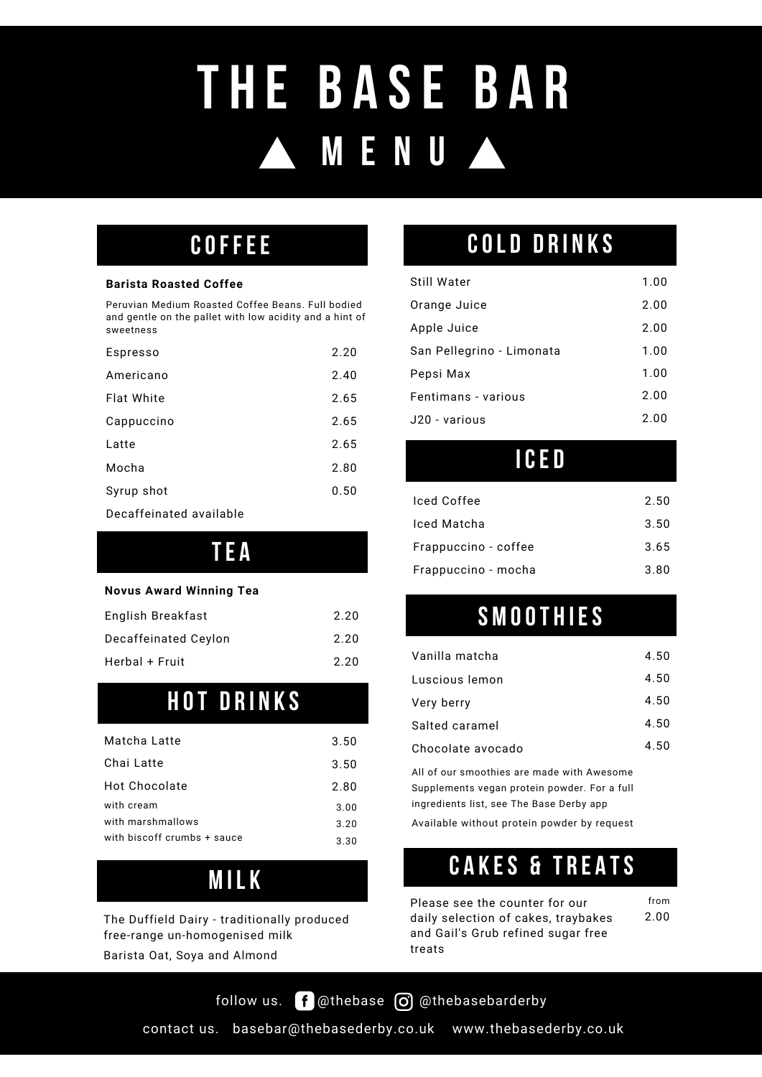# **M E N U T H E B A SE B A R**

## COFFEE

#### **Barista Roasted Coffee**

Peruvian Medium Roasted Coffee Beans. Full bodied and gentle on the pallet with low acidity and a hint of sweetness

| Espresso   | 2.20 |
|------------|------|
| Americano  | 2.40 |
| Flat White | 2.65 |
| Cappuccino | 2.65 |
| Latte      | 2.65 |
| Mocha      | 2.80 |
| Syrup shot | 0.50 |
|            |      |

Decaffeinated available

## TE A

#### **Novus Award Winning Tea**

| English Breakfast    | 2.20 |
|----------------------|------|
| Decaffeinated Ceylon | 2.20 |
| Herbal + Fruit       | 2.20 |

# **HOT DRINKS**

| Matcha Latte                | 3.50 | Сł  |
|-----------------------------|------|-----|
| Chai Latte                  | 3.50 | All |
| Hot Chocolate               | 2.80 | Su  |
| with cream                  | 3.00 | ino |
| with marshmallows           | 3.20 | A٧  |
| with biscoff crumbs + sauce | 3.30 |     |

# M IL k

The Duffield Dairy - traditionally produced free-range un-homogenised milk

Barista Oat, Soya and Almond

# COLD DRINKS

| Still Water               | 1.00 |
|---------------------------|------|
| Orange Juice              | 2.00 |
| Apple Juice               | 2.00 |
| San Pellegrino - Limonata | 1.00 |
| Pepsi Max                 | 1.00 |
| Fentimans - various       | 2.00 |
| J20 - various             | 2.00 |

## ICE D

| Iced Coffee          | 2.50 |
|----------------------|------|
| Iced Matcha          | 3.50 |
| Frappuccino - coffee | 3.65 |
| Frappuccino - mocha  | 3.80 |

# **SMOOTHIES**

| Vanilla matcha    | 4.50 |
|-------------------|------|
| Luscious lemon    | 4.50 |
| Very berry        | 4.50 |
| Salted caramel    | 4.50 |
| Chocolate avocado | 4.50 |

2.80 Supplements vegan protein powder. For a full All of our smoothies are made with Awesome ingredients list, see The Base Derby app

Available without protein powder by request

# CAKES & TREATS

from

Please see the counter for our daily selection of cakes, traybakes and Gail's Grub refined sugar free treats 2.00